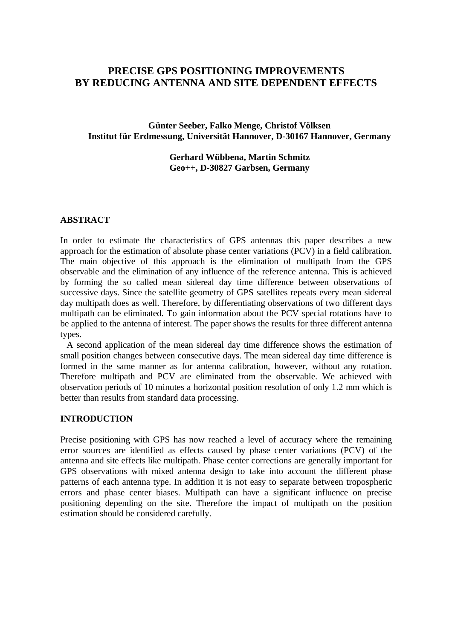# **PRECISE GPS POSITIONING IMPROVEMENTS BY REDUCING ANTENNA AND SITE DEPENDENT EFFECTS**

**Günter Seeber, Falko Menge, Christof Völksen Institut für Erdmessung, Universität Hannover, D-30167 Hannover, Germany**

> **Gerhard Wübbena, Martin Schmitz Geo++, D-30827 Garbsen, Germany**

#### **ABSTRACT**

In order to estimate the characteristics of GPS antennas this paper describes a new approach for the estimation of absolute phase center variations (PCV) in a field calibration. The main objective of this approach is the elimination of multipath from the GPS observable and the elimination of any influence of the reference antenna. This is achieved by forming the so called mean sidereal day time difference between observations of successive days. Since the satellite geometry of GPS satellites repeats every mean sidereal day multipath does as well. Therefore, by differentiating observations of two different days multipath can be eliminated. To gain information about the PCV special rotations have to be applied to the antenna of interest. The paper shows the results for three different antenna types.

A second application of the mean sidereal day time difference shows the estimation of small position changes between consecutive days. The mean sidereal day time difference is formed in the same manner as for antenna calibration, however, without any rotation. Therefore multipath and PCV are eliminated from the observable. We achieved with observation periods of 10 minutes a horizontal position resolution of only 1.2 mm which is better than results from standard data processing.

#### **INTRODUCTION**

Precise positioning with GPS has now reached a level of accuracy where the remaining error sources are identified as effects caused by phase center variations (PCV) of the antenna and site effects like multipath. Phase center corrections are generally important for GPS observations with mixed antenna design to take into account the different phase patterns of each antenna type. In addition it is not easy to separate between tropospheric errors and phase center biases. Multipath can have a significant influence on precise positioning depending on the site. Therefore the impact of multipath on the position estimation should be considered carefully.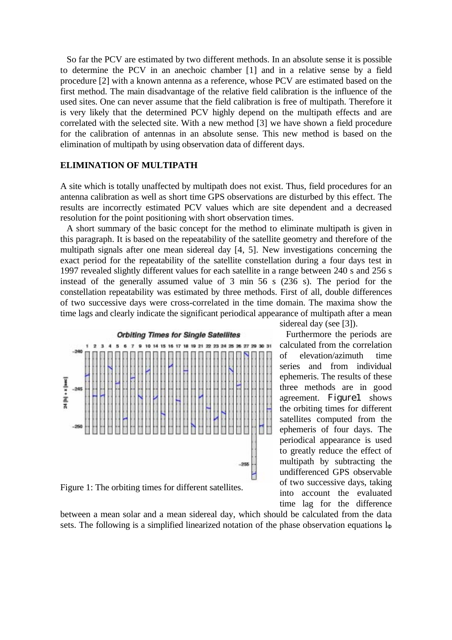So far the PCV are estimated by two different methods. In an absolute sense it is possible to determine the PCV in an anechoic chamber [1] and in a relative sense by a field procedure [2] with a known antenna as a reference, whose PCV are estimated based on the first method. The main disadvantage of the relative field calibration is the influence of the used sites. One can never assume that the field calibration is free of multipath. Therefore it is very likely that the determined PCV highly depend on the multipath effects and are correlated with the selected site. With a new method [3] we have shown a field procedure for the calibration of antennas in an absolute sense. This new method is based on the elimination of multipath by using observation data of different days.

### **ELIMINATION OF MULTIPATH**

A site which is totally unaffected by multipath does not exist. Thus, field procedures for an antenna calibration as well as short time GPS observations are disturbed by this effect. The results are incorrectly estimated PCV values which are site dependent and a decreased resolution for the point positioning with short observation times.

A short summary of the basic concept for the method to eliminate multipath is given in this paragraph. It is based on the repeatability of the satellite geometry and therefore of the multipath signals after one mean sidereal day [4, 5]. New investigations concerning the exact period for the repeatability of the satellite constellation during a four days test in 1997 revealed slightly different values for each satellite in a range between 240 s and 256 s instead of the generally assumed value of 3 min 56 s (236 s). The period for the constellation repeatability was estimated by three methods. First of all, double differences of two successive days were cross-correlated in the time domain. The maxima show the time lags and clearly indicate the significant periodical appearance of multipath after a mean



Figure 1: The orbiting times for different satellites.

between a mean solar and a mean sidereal day, which should be calculated from the data sets. The following is a simplified linearized notation of the phase observation equations  $l_{\Phi}$ 

sidereal day (see [3]).

Furthermore the periods are calculated from the correlation of elevation/azimuth time series and from individual ephemeris. The results of these three methods are in good agreement. Figure1 shows the orbiting times for different satellites computed from the ephemeris of four days. The periodical appearance is used to greatly reduce the effect of multipath by subtracting the undifferenced GPS observable of two successive days, taking into account the evaluated time lag for the difference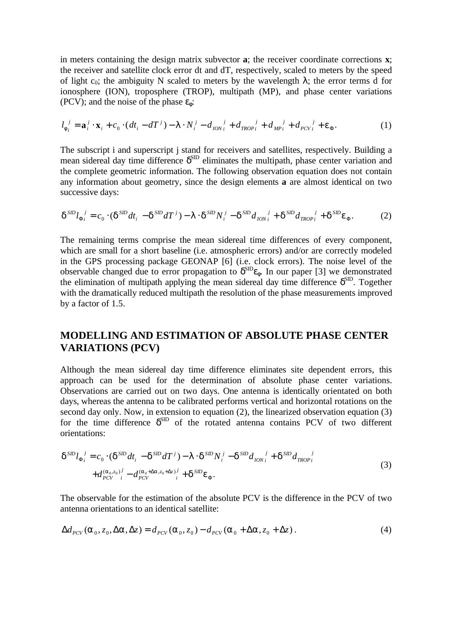in meters containing the design matrix subvector **a**; the receiver coordinate corrections **x**; the receiver and satellite clock error dt and dT, respectively, scaled to meters by the speed of light  $c_0$ ; the ambiguity N scaled to meters by the wavelength  $\lambda$ ; the error terms d for ionosphere (ION), troposphere (TROP), multipath (MP), and phase center variations (PCV); and the noise of the phase  $\varepsilon_{\phi}$ :

$$
l_{\phi_i}^j = \mathbf{a}_i^j \cdot \mathbf{x}_i + c_0 \cdot (dt_i - dT^j) - \lambda \cdot N_i^j - d_{ION_i}^j + d_{TROP_i}^j + d_{MP_i}^j + d_{PCV_i}^j + \varepsilon_{\Phi}.
$$
 (1)

The subscript i and superscript j stand for receivers and satellites, respectively. Building a mean sidereal day time difference  $\delta^{\text{SID}}$  eliminates the multipath, phase center variation and the complete geometric information. The following observation equation does not contain any information about geometry, since the design elements **a** are almost identical on two successive days:

$$
\delta^{SD} l_{\Phi_i}^{\ \ j} = c_0 \cdot (\delta^{SD} dt_i - \delta^{SD} dT^j) - \lambda \cdot \delta^{SD} N_i^{\ j} - \delta^{SD} d_{ION_i}^{\ \ j} + \delta^{SD} d_{TROP_i}^{\ \ j} + \delta^{SD} \varepsilon_{\Phi}.
$$

The remaining terms comprise the mean sidereal time differences of every component, which are small for a short baseline (i.e. atmospheric errors) and/or are correctly modeled in the GPS processing package GEONAP [6] (i.e. clock errors). The noise level of the observable changed due to error propagation to  $\delta^{\text{SD}}\epsilon_{\phi}$ . In our paper [3] we demonstrated the elimination of multipath applying the mean sidereal day time difference  $\delta^{\text{SD}}$ . Together with the dramatically reduced multipath the resolution of the phase measurements improved by a factor of 1.5.

# **MODELLING AND ESTIMATION OF ABSOLUTE PHASE CENTER VARIATIONS (PCV)**

Although the mean sidereal day time difference eliminates site dependent errors, this approach can be used for the determination of absolute phase center variations. Observations are carried out on two days. One antenna is identically orientated on both days, whereas the antenna to be calibrated performs vertical and horizontal rotations on the second day only. Now, in extension to equation (2), the linearized observation equation (3) for the time difference  $\delta^{\text{SID}}$  of the rotated antenna contains PCV of two different orientations:

$$
\delta^{SD} l_{\Phi_i}^{\ \ j} = c_0 \cdot (\delta^{SD} dt_i - \delta^{SD} dT^j) - \lambda \cdot \delta^{SD} N_i^{\ j} - \delta^{SD} d_{ION_i}^{\ \ j} + \delta^{SD} d_{TROP_i}^{\ \ j}
$$
  
+
$$
d_{PCV}^{(\alpha_0, z_0)^j} - d_{PCV}^{(\alpha_0 + \Delta \alpha, z_0 + \Delta z)^j} + \delta^{SD} \varepsilon_{\Phi}.
$$
 (3)

The observable for the estimation of the absolute PCV is the difference in the PCV of two antenna orientations to an identical satellite:

$$
\Delta d_{PCV}(\alpha_0, z_0, \Delta \alpha, \Delta z) = d_{PCV}(\alpha_0, z_0) - d_{PCV}(\alpha_0 + \Delta \alpha, z_0 + \Delta z). \tag{4}
$$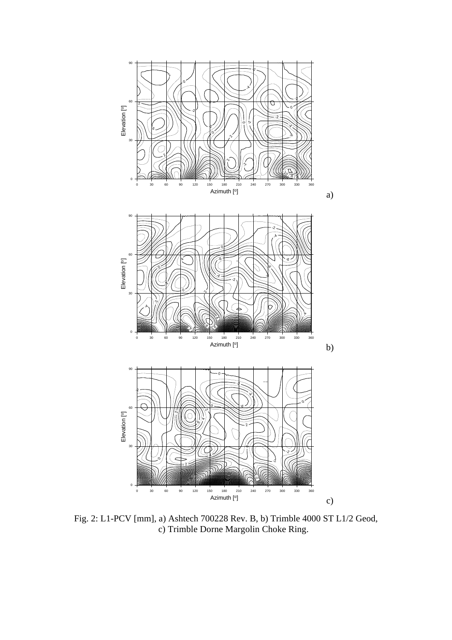

Fig. 2: L1-PCV [mm], a) Ashtech 700228 Rev. B, b) Trimble 4000 ST L1/2 Geod, c) Trimble Dorne Margolin Choke Ring.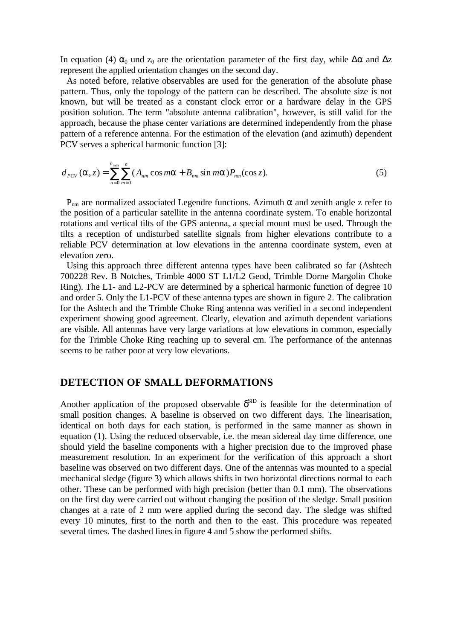In equation (4)  $\alpha_0$  und  $z_0$  are the orientation parameter of the first day, while  $\Delta\alpha$  and  $\Delta z$ represent the applied orientation changes on the second day.

As noted before, relative observables are used for the generation of the absolute phase pattern. Thus, only the topology of the pattern can be described. The absolute size is not known, but will be treated as a constant clock error or a hardware delay in the GPS position solution. The term "absolute antenna calibration", however, is still valid for the approach, because the phase center variations are determined independently from the phase pattern of a reference antenna. For the estimation of the elevation (and azimuth) dependent PCV serves a spherical harmonic function [3]:

$$
d_{PCV}(\alpha, z) = \sum_{n=0}^{n_{\text{max}}} \sum_{m=0}^{n} (A_{nm} \cos m\alpha + B_{nm} \sin m\alpha) P_{nm}(\cos z).
$$
 (5)

 $P_{nm}$  are normalized associated Legendre functions. Azimuth α and zenith angle z refer to the position of a particular satellite in the antenna coordinate system. To enable horizontal rotations and vertical tilts of the GPS antenna, a special mount must be used. Through the tilts a reception of undisturbed satellite signals from higher elevations contribute to a reliable PCV determination at low elevations in the antenna coordinate system, even at elevation zero.

Using this approach three different antenna types have been calibrated so far (Ashtech 700228 Rev. B Notches, Trimble 4000 ST L1/L2 Geod, Trimble Dorne Margolin Choke Ring). The L1- and L2-PCV are determined by a spherical harmonic function of degree 10 and order 5. Only the L1-PCV of these antenna types are shown in figure 2. The calibration for the Ashtech and the Trimble Choke Ring antenna was verified in a second independent experiment showing good agreement. Clearly, elevation and azimuth dependent variations are visible. All antennas have very large variations at low elevations in common, especially for the Trimble Choke Ring reaching up to several cm. The performance of the antennas seems to be rather poor at very low elevations.

## **DETECTION OF SMALL DEFORMATIONS**

Another application of the proposed observable  $\delta^{\text{SD}}$  is feasible for the determination of small position changes. A baseline is observed on two different days. The linearisation, identical on both days for each station, is performed in the same manner as shown in equation (1). Using the reduced observable, i.e. the mean sidereal day time difference, one should yield the baseline components with a higher precision due to the improved phase measurement resolution. In an experiment for the verification of this approach a short baseline was observed on two different days. One of the antennas was mounted to a special mechanical sledge (figure 3) which allows shifts in two horizontal directions normal to each other. These can be performed with high precision (better than 0.1 mm). The observations on the first day were carried out without changing the position of the sledge. Small position changes at a rate of 2 mm were applied during the second day. The sledge was shifted every 10 minutes, first to the north and then to the east. This procedure was repeated several times. The dashed lines in figure 4 and 5 show the performed shifts.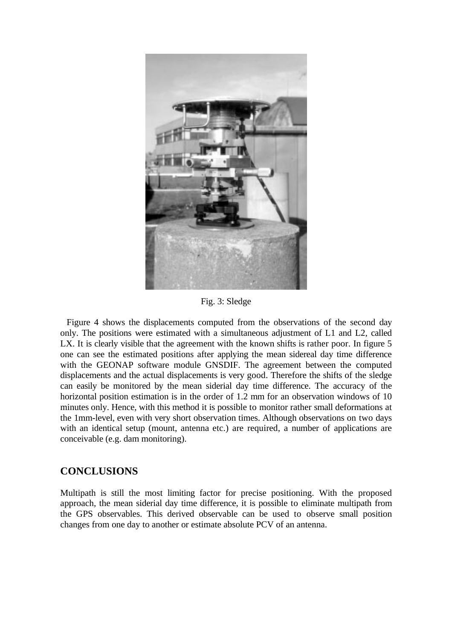

Fig. 3: Sledge

Figure 4 shows the displacements computed from the observations of the second day only. The positions were estimated with a simultaneous adjustment of L1 and L2, called LX. It is clearly visible that the agreement with the known shifts is rather poor. In figure 5 one can see the estimated positions after applying the mean sidereal day time difference with the GEONAP software module GNSDIF. The agreement between the computed displacements and the actual displacements is very good. Therefore the shifts of the sledge can easily be monitored by the mean siderial day time difference. The accuracy of the horizontal position estimation is in the order of 1.2 mm for an observation windows of 10 minutes only. Hence, with this method it is possible to monitor rather small deformations at the 1mm-level, even with very short observation times. Although observations on two days with an identical setup (mount, antenna etc.) are required, a number of applications are conceivable (e.g. dam monitoring).

## **CONCLUSIONS**

Multipath is still the most limiting factor for precise positioning. With the proposed approach, the mean siderial day time difference, it is possible to eliminate multipath from the GPS observables. This derived observable can be used to observe small position changes from one day to another or estimate absolute PCV of an antenna.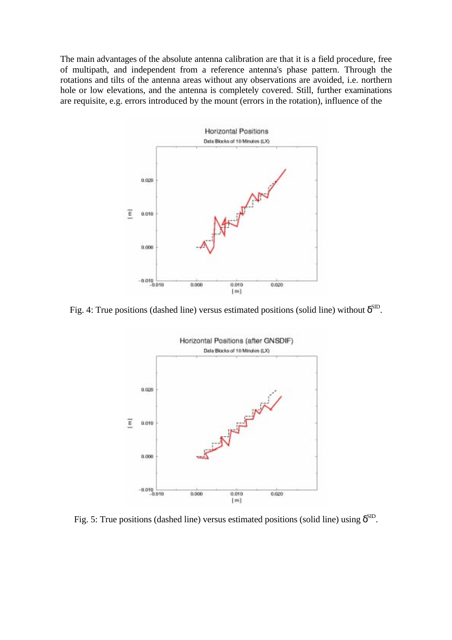The main advantages of the absolute antenna calibration are that it is a field procedure, free of multipath, and independent from a reference antenna's phase pattern. Through the rotations and tilts of the antenna areas without any observations are avoided, i.e. northern hole or low elevations, and the antenna is completely covered. Still, further examinations are requisite, e.g. errors introduced by the mount (errors in the rotation), influence of the



Fig. 4: True positions (dashed line) versus estimated positions (solid line) without  $\delta^{\text{SD}}$ .



Fig. 5: True positions (dashed line) versus estimated positions (solid line) using  $\delta^{\text{SD}}$ .